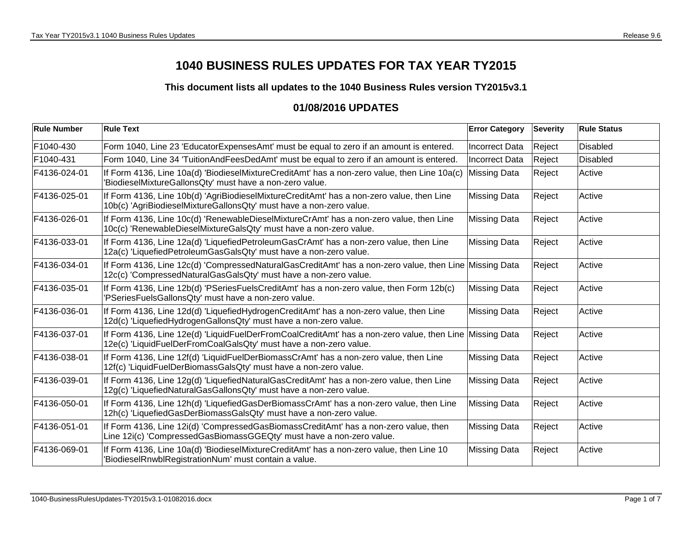## **1040 BUSINESS RULES UPDATES FOR TAX YEAR TY2015**

**This document lists all updates to the 1040 Business Rules version TY2015v3.1**

## **01/08/2016 UPDATES**

| <b>Rule Number</b> | <b>Rule Text</b>                                                                                                                                                             | <b>Error Category</b> | <b>Severity</b> | <b>Rule Status</b> |
|--------------------|------------------------------------------------------------------------------------------------------------------------------------------------------------------------------|-----------------------|-----------------|--------------------|
| F1040-430          | Form 1040, Line 23 'EducatorExpensesAmt' must be equal to zero if an amount is entered.                                                                                      | <b>Incorrect Data</b> | Reject          | <b>Disabled</b>    |
| F1040-431          | Form 1040, Line 34 'TuitionAndFeesDedAmt' must be equal to zero if an amount is entered.                                                                                     | Incorrect Data        | Reject          | <b>Disabled</b>    |
| F4136-024-01       | If Form 4136, Line 10a(d) 'BiodieselMixtureCreditAmt' has a non-zero value, then Line 10a(c)<br>'BiodieselMixtureGallonsQty' must have a non-zero value.                     | <b>Missing Data</b>   | Reject          | Active             |
| F4136-025-01       | If Form 4136, Line 10b(d) 'AgriBiodieselMixtureCreditAmt' has a non-zero value, then Line<br>10b(c) 'AgriBiodieselMixtureGallonsQty' must have a non-zero value.             | <b>Missing Data</b>   | Reject          | Active             |
| F4136-026-01       | If Form 4136, Line 10c(d) 'RenewableDieselMixtureCrAmt' has a non-zero value, then Line<br>10c(c) 'RenewableDieselMixtureGalsQty' must have a non-zero value.                | <b>Missing Data</b>   | Reject          | Active             |
| F4136-033-01       | If Form 4136, Line 12a(d) 'LiquefiedPetroleumGasCrAmt' has a non-zero value, then Line<br>12a(c) 'LiquefiedPetroleumGasGalsQty' must have a non-zero value.                  | <b>Missing Data</b>   | Reject          | Active             |
| F4136-034-01       | If Form 4136, Line 12c(d) 'CompressedNaturalGasCreditAmt' has a non-zero value, then Line Missing Data<br>12c(c) 'CompressedNaturalGasGalsQty' must have a non-zero value.   |                       | Reject          | Active             |
| F4136-035-01       | If Form 4136, Line 12b(d) 'PSeriesFuelsCreditAmt' has a non-zero value, then Form 12b(c)<br>'PSeriesFuelsGallonsQty' must have a non-zero value.                             | <b>Missing Data</b>   | Reject          | Active             |
| F4136-036-01       | If Form 4136, Line 12d(d) 'LiquefiedHydrogenCreditAmt' has a non-zero value, then Line<br>12d(c) 'LiquefiedHydrogenGallonsQty' must have a non-zero value.                   | <b>Missing Data</b>   | Reject          | Active             |
| F4136-037-01       | If Form 4136, Line 12e(d) 'LiquidFuelDerFromCoalCreditAmt' has a non-zero value, then Line Missing Data<br>12e(c) 'LiquidFuelDerFromCoalGalsQty' must have a non-zero value. |                       | Reject          | Active             |
| F4136-038-01       | If Form 4136, Line 12f(d) 'LiquidFuelDerBiomassCrAmt' has a non-zero value, then Line<br>12f(c) 'LiquidFuelDerBiomassGalsQty' must have a non-zero value.                    | <b>Missing Data</b>   | Reject          | Active             |
| F4136-039-01       | If Form 4136, Line 12g(d) 'LiquefiedNaturalGasCreditAmt' has a non-zero value, then Line<br>12g(c) 'LiquefiedNaturalGasGallonsQty' must have a non-zero value.               | <b>Missing Data</b>   | Reject          | Active             |
| F4136-050-01       | If Form 4136, Line 12h(d) 'LiquefiedGasDerBiomassCrAmt' has a non-zero value, then Line<br>12h(c) 'LiquefiedGasDerBiomassGalsQty' must have a non-zero value.                | <b>Missing Data</b>   | Reject          | Active             |
| F4136-051-01       | If Form 4136, Line 12i(d) 'CompressedGasBiomassCreditAmt' has a non-zero value, then<br>Line 12i(c) 'CompressedGasBiomassGGEQty' must have a non-zero value.                 | <b>Missing Data</b>   | Reject          | Active             |
| F4136-069-01       | If Form 4136, Line 10a(d) 'BiodieselMixtureCreditAmt' has a non-zero value, then Line 10<br>'BiodieselRnwblRegistrationNum' must contain a value.                            | <b>Missing Data</b>   | Reject          | Active             |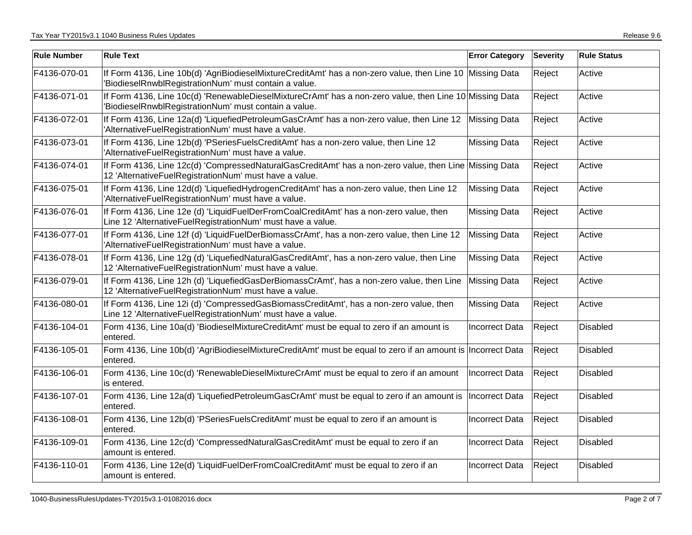| <b>Rule Number</b> | <b>Rule Text</b>                                                                                                                                                   | <b>Error Category</b> | <b>Severity</b> | <b>Rule Status</b> |
|--------------------|--------------------------------------------------------------------------------------------------------------------------------------------------------------------|-----------------------|-----------------|--------------------|
| F4136-070-01       | If Form 4136, Line 10b(d) 'AgriBiodieselMixtureCreditAmt' has a non-zero value, then Line 10 Missing Data<br>'BiodieselRnwblRegistrationNum' must contain a value. |                       | Reject          | Active             |
| F4136-071-01       | If Form 4136, Line 10c(d) 'RenewableDieselMixtureCrAmt' has a non-zero value, then Line 10 Missing Data<br>'BiodieselRnwblRegistrationNum' must contain a value.   |                       | Reject          | Active             |
| F4136-072-01       | If Form 4136, Line 12a(d) 'LiquefiedPetroleumGasCrAmt' has a non-zero value, then Line 12 Missing Data<br>'AlternativeFuelRegistrationNum' must have a value.      |                       | Reject          | Active             |
| F4136-073-01       | If Form 4136, Line 12b(d) 'PSeriesFuelsCreditAmt' has a non-zero value, then Line 12<br>'AlternativeFuelRegistrationNum' must have a value.                        | <b>Missing Data</b>   | Reject          | Active             |
| F4136-074-01       | If Form 4136, Line 12c(d) 'CompressedNaturalGasCreditAmt' has a non-zero value, then Line Missing Data<br>12 'AlternativeFuelRegistrationNum' must have a value.   |                       | Reject          | Active             |
| F4136-075-01       | If Form 4136, Line 12d(d) 'LiquefiedHydrogenCreditAmt' has a non-zero value, then Line 12<br>'AlternativeFuelRegistrationNum' must have a value.                   | <b>Missing Data</b>   | Reject          | Active             |
| F4136-076-01       | If Form 4136, Line 12e (d) 'LiquidFuelDerFromCoalCreditAmt' has a non-zero value, then<br>Line 12 'AlternativeFuelRegistrationNum' must have a value.              | <b>Missing Data</b>   | Reject          | Active             |
| F4136-077-01       | If Form 4136, Line 12f (d) 'LiquidFuelDerBiomassCrAmt', has a non-zero value, then Line 12<br>'AlternativeFuelRegistrationNum' must have a value.                  | <b>Missing Data</b>   | Reject          | Active             |
| F4136-078-01       | If Form 4136, Line 12g (d) 'LiquefiedNaturalGasCreditAmt', has a non-zero value, then Line<br>12 'AlternativeFuelRegistrationNum' must have a value.               | <b>Missing Data</b>   | Reject          | Active             |
| F4136-079-01       | If Form 4136, Line 12h (d) 'LiquefiedGasDerBiomassCrAmt', has a non-zero value, then Line<br>12 'AlternativeFuelRegistrationNum' must have a value.                | <b>Missing Data</b>   | Reject          | Active             |
| F4136-080-01       | If Form 4136, Line 12i (d) 'CompressedGasBiomassCreditAmt', has a non-zero value, then<br>Line 12 'AlternativeFuelRegistrationNum' must have a value.              | <b>Missing Data</b>   | Reject          | Active             |
| F4136-104-01       | Form 4136, Line 10a(d) 'BiodieselMixtureCreditAmt' must be equal to zero if an amount is<br>entered.                                                               | <b>Incorrect Data</b> | Reject          | Disabled           |
| F4136-105-01       | Form 4136, Line 10b(d) 'AgriBiodieselMixtureCreditAmt' must be equal to zero if an amount is Incorrect Data<br>entered.                                            |                       | Reject          | <b>Disabled</b>    |
| F4136-106-01       | Form 4136, Line 10c(d) 'RenewableDieselMixtureCrAmt' must be equal to zero if an amount<br>is entered.                                                             | Incorrect Data        | Reject          | <b>Disabled</b>    |
| F4136-107-01       | Form 4136, Line 12a(d) 'LiquefiedPetroleumGasCrAmt' must be equal to zero if an amount is<br>entered.                                                              | Incorrect Data        | Reject          | <b>Disabled</b>    |
| F4136-108-01       | Form 4136, Line 12b(d) 'PSeriesFuelsCreditAmt' must be equal to zero if an amount is<br>entered.                                                                   | <b>Incorrect Data</b> | Reject          | <b>Disabled</b>    |
| F4136-109-01       | Form 4136, Line 12c(d) 'CompressedNaturalGasCreditAmt' must be equal to zero if an<br>amount is entered.                                                           | <b>Incorrect Data</b> | Reject          | <b>Disabled</b>    |
| F4136-110-01       | Form 4136, Line 12e(d) 'LiquidFuelDerFromCoalCreditAmt' must be equal to zero if an<br>amount is entered.                                                          | <b>Incorrect Data</b> | Reject          | <b>Disabled</b>    |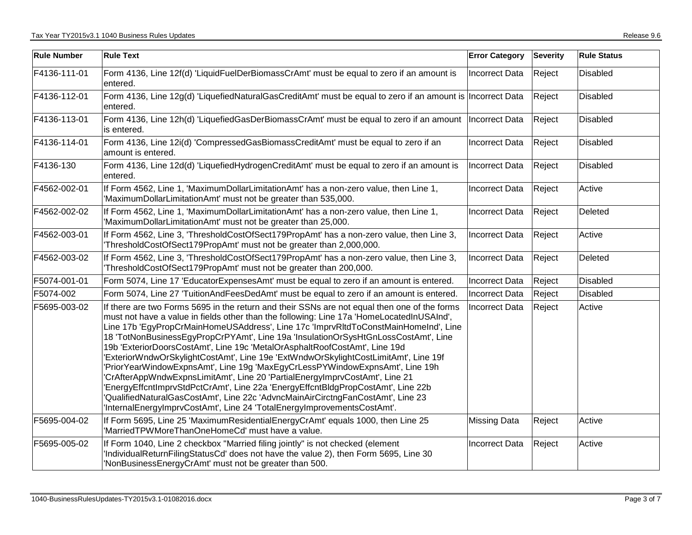| <b>Rule Number</b> | <b>Rule Text</b>                                                                                                                                                                                                                                                                                                                                                                                                                                                                                                                                                                                                                                                                                                                                                                                                                                                                                                                                             | <b>Error Category</b> | <b>Severity</b> | <b>Rule Status</b> |
|--------------------|--------------------------------------------------------------------------------------------------------------------------------------------------------------------------------------------------------------------------------------------------------------------------------------------------------------------------------------------------------------------------------------------------------------------------------------------------------------------------------------------------------------------------------------------------------------------------------------------------------------------------------------------------------------------------------------------------------------------------------------------------------------------------------------------------------------------------------------------------------------------------------------------------------------------------------------------------------------|-----------------------|-----------------|--------------------|
| F4136-111-01       | Form 4136, Line 12f(d) 'LiquidFuelDerBiomassCrAmt' must be equal to zero if an amount is<br>entered.                                                                                                                                                                                                                                                                                                                                                                                                                                                                                                                                                                                                                                                                                                                                                                                                                                                         | <b>Incorrect Data</b> | Reject          | <b>Disabled</b>    |
| F4136-112-01       | Form 4136, Line 12g(d) 'LiquefiedNaturalGasCreditAmt' must be equal to zero if an amount is Incorrect Data<br>entered.                                                                                                                                                                                                                                                                                                                                                                                                                                                                                                                                                                                                                                                                                                                                                                                                                                       |                       | Reject          | Disabled           |
| F4136-113-01       | Form 4136, Line 12h(d) 'LiquefiedGasDerBiomassCrAmt' must be equal to zero if an amount  Incorrect Data<br>is entered.                                                                                                                                                                                                                                                                                                                                                                                                                                                                                                                                                                                                                                                                                                                                                                                                                                       |                       | Reject          | <b>Disabled</b>    |
| F4136-114-01       | Form 4136, Line 12i(d) 'CompressedGasBiomassCreditAmt' must be equal to zero if an<br>amount is entered.                                                                                                                                                                                                                                                                                                                                                                                                                                                                                                                                                                                                                                                                                                                                                                                                                                                     | <b>Incorrect Data</b> | Reject          | Disabled           |
| F4136-130          | Form 4136, Line 12d(d) 'LiquefiedHydrogenCreditAmt' must be equal to zero if an amount is<br>entered.                                                                                                                                                                                                                                                                                                                                                                                                                                                                                                                                                                                                                                                                                                                                                                                                                                                        | Incorrect Data        | Reject          | Disabled           |
| F4562-002-01       | If Form 4562, Line 1, 'MaximumDollarLimitationAmt' has a non-zero value, then Line 1,<br>'MaximumDollarLimitationAmt' must not be greater than 535,000.                                                                                                                                                                                                                                                                                                                                                                                                                                                                                                                                                                                                                                                                                                                                                                                                      | <b>Incorrect Data</b> | Reject          | Active             |
| F4562-002-02       | If Form 4562, Line 1, 'MaximumDollarLimitationAmt' has a non-zero value, then Line 1,<br>'MaximumDollarLimitationAmt' must not be greater than 25,000.                                                                                                                                                                                                                                                                                                                                                                                                                                                                                                                                                                                                                                                                                                                                                                                                       | <b>Incorrect Data</b> | Reject          | Deleted            |
| F4562-003-01       | If Form 4562, Line 3, 'ThresholdCostOfSect179PropAmt' has a non-zero value, then Line 3,<br>ThresholdCostOfSect179PropAmt' must not be greater than 2,000,000.                                                                                                                                                                                                                                                                                                                                                                                                                                                                                                                                                                                                                                                                                                                                                                                               | Incorrect Data        | Reject          | Active             |
| F4562-003-02       | If Form 4562, Line 3, 'ThresholdCostOfSect179PropAmt' has a non-zero value, then Line 3,<br>ThresholdCostOfSect179PropAmt' must not be greater than 200,000.                                                                                                                                                                                                                                                                                                                                                                                                                                                                                                                                                                                                                                                                                                                                                                                                 | <b>Incorrect Data</b> | Reject          | Deleted            |
| F5074-001-01       | Form 5074, Line 17 'EducatorExpensesAmt' must be equal to zero if an amount is entered.                                                                                                                                                                                                                                                                                                                                                                                                                                                                                                                                                                                                                                                                                                                                                                                                                                                                      | <b>Incorrect Data</b> | Reject          | <b>Disabled</b>    |
| F5074-002          | Form 5074, Line 27 'TuitionAndFeesDedAmt' must be equal to zero if an amount is entered.                                                                                                                                                                                                                                                                                                                                                                                                                                                                                                                                                                                                                                                                                                                                                                                                                                                                     | Incorrect Data        | Reject          | Disabled           |
| F5695-003-02       | If there are two Forms 5695 in the return and their SSNs are not equal then one of the forms<br>must not have a value in fields other than the following: Line 17a 'HomeLocatedInUSAInd',<br>Line 17b 'EgyPropCrMainHomeUSAddress', Line 17c 'ImprvRItdToConstMainHomeInd', Line<br>18 'TotNonBusinessEgyPropCrPYAmt', Line 19a 'InsulationOrSysHtGnLossCostAmt', Line<br>19b 'ExteriorDoorsCostAmt', Line 19c 'MetalOrAsphaltRoofCostAmt', Line 19d<br>'ExteriorWndwOrSkylightCostAmt', Line 19e 'ExtWndwOrSkylightCostLimitAmt', Line 19f<br>'PriorYearWindowExpnsAmt', Line 19g 'MaxEgyCrLessPYWindowExpnsAmt', Line 19h<br>'CrAfterAppWndwExpnsLimitAmt', Line 20 'PartialEnergyImprvCostAmt', Line 21<br>'EnergyEffcntImprvStdPctCrAmt', Line 22a 'EnergyEffcntBldgPropCostAmt', Line 22b<br>'QualifiedNaturalGasCostAmt', Line 22c 'AdvncMainAirCirctngFanCostAmt', Line 23<br>'InternalEnergyImprvCostAmt', Line 24 'TotalEnergyImprovementsCostAmt'. | <b>Incorrect Data</b> | Reject          | Active             |
| F5695-004-02       | If Form 5695, Line 25 'MaximumResidentialEnergyCrAmt' equals 1000, then Line 25<br>'MarriedTPWMoreThanOneHomeCd' must have a value.                                                                                                                                                                                                                                                                                                                                                                                                                                                                                                                                                                                                                                                                                                                                                                                                                          | <b>Missing Data</b>   | Reject          | Active             |
| F5695-005-02       | If Form 1040, Line 2 checkbox "Married filing jointly" is not checked (element<br>IndividualReturnFilingStatusCd' does not have the value 2), then Form 5695, Line 30<br>'NonBusinessEnergyCrAmt' must not be greater than 500.                                                                                                                                                                                                                                                                                                                                                                                                                                                                                                                                                                                                                                                                                                                              | <b>Incorrect Data</b> | Reject          | Active             |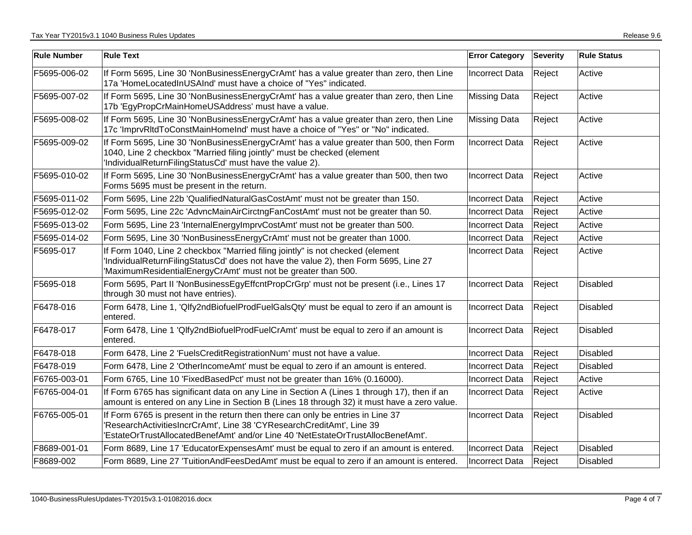| <b>Rule Number</b> | <b>Rule Text</b>                                                                                                                                                                                                                             | <b>Error Category</b> | <b>Severity</b> | <b>Rule Status</b> |
|--------------------|----------------------------------------------------------------------------------------------------------------------------------------------------------------------------------------------------------------------------------------------|-----------------------|-----------------|--------------------|
| F5695-006-02       | If Form 5695, Line 30 'NonBusinessEnergyCrAmt' has a value greater than zero, then Line<br>17a 'HomeLocatedInUSAInd' must have a choice of "Yes" indicated.                                                                                  | <b>Incorrect Data</b> | Reject          | Active             |
| F5695-007-02       | If Form 5695, Line 30 'NonBusinessEnergyCrAmt' has a value greater than zero, then Line<br>17b 'EgyPropCrMainHomeUSAddress' must have a value.                                                                                               | <b>Missing Data</b>   | Reject          | Active             |
| F5695-008-02       | If Form 5695, Line 30 'NonBusinessEnergyCrAmt' has a value greater than zero, then Line<br>17c 'ImprvRItdToConstMainHomeInd' must have a choice of "Yes" or "No" indicated.                                                                  | <b>Missing Data</b>   | Reject          | Active             |
| F5695-009-02       | If Form 5695, Line 30 'NonBusinessEnergyCrAmt' has a value greater than 500, then Form<br>1040, Line 2 checkbox "Married filing jointly" must be checked (element<br>'IndividualReturnFilingStatusCd' must have the value 2).                | <b>Incorrect Data</b> | Reject          | Active             |
| F5695-010-02       | If Form 5695, Line 30 'NonBusinessEnergyCrAmt' has a value greater than 500, then two<br>Forms 5695 must be present in the return.                                                                                                           | <b>Incorrect Data</b> | Reject          | Active             |
| F5695-011-02       | Form 5695, Line 22b 'QualifiedNaturalGasCostAmt' must not be greater than 150.                                                                                                                                                               | <b>Incorrect Data</b> | Reject          | Active             |
| F5695-012-02       | Form 5695, Line 22c 'AdvncMainAirCirctngFanCostAmt' must not be greater than 50.                                                                                                                                                             | <b>Incorrect Data</b> | Reject          | Active             |
| F5695-013-02       | Form 5695, Line 23 'InternalEnergyImprvCostAmt' must not be greater than 500.                                                                                                                                                                | <b>Incorrect Data</b> | Reject          | Active             |
| F5695-014-02       | Form 5695, Line 30 'NonBusinessEnergyCrAmt' must not be greater than 1000.                                                                                                                                                                   | <b>Incorrect Data</b> | Reject          | Active             |
| F5695-017          | If Form 1040, Line 2 checkbox "Married filing jointly" is not checked (element<br>'IndividualReturnFilingStatusCd' does not have the value 2), then Form 5695, Line 27<br>'MaximumResidentialEnergyCrAmt' must not be greater than 500.      | <b>Incorrect Data</b> | Reject          | Active             |
| F5695-018          | Form 5695, Part II 'NonBusinessEgyEffcntPropCrGrp' must not be present (i.e., Lines 17<br>through 30 must not have entries).                                                                                                                 | Incorrect Data        | Reject          | Disabled           |
| F6478-016          | Form 6478, Line 1, 'Qlfy2ndBiofuelProdFuelGalsQty' must be equal to zero if an amount is<br>entered.                                                                                                                                         | <b>Incorrect Data</b> | Reject          | Disabled           |
| F6478-017          | Form 6478, Line 1 'Qlfy2ndBiofuelProdFuelCrAmt' must be equal to zero if an amount is<br>entered.                                                                                                                                            | <b>Incorrect Data</b> | Reject          | <b>Disabled</b>    |
| F6478-018          | Form 6478, Line 2 'FuelsCreditRegistrationNum' must not have a value.                                                                                                                                                                        | <b>Incorrect Data</b> | Reject          | Disabled           |
| F6478-019          | Form 6478, Line 2 'OtherIncomeAmt' must be equal to zero if an amount is entered.                                                                                                                                                            | <b>Incorrect Data</b> | Reject          | <b>Disabled</b>    |
| F6765-003-01       | Form 6765, Line 10 'FixedBasedPct' must not be greater than 16% (0.16000).                                                                                                                                                                   | <b>Incorrect Data</b> | Reject          | Active             |
| F6765-004-01       | If Form 6765 has significant data on any Line in Section A (Lines 1 through 17), then if an<br>amount is entered on any Line in Section B (Lines 18 through 32) it must have a zero value.                                                   | <b>Incorrect Data</b> | Reject          | Active             |
| F6765-005-01       | If Form 6765 is present in the return then there can only be entries in Line 37<br>'ResearchActivitiesIncrCrAmt', Line 38 'CYResearchCreditAmt', Line 39<br>'EstateOrTrustAllocatedBenefAmt' and/or Line 40 'NetEstateOrTrustAllocBenefAmt'. | <b>Incorrect Data</b> | Reject          | <b>Disabled</b>    |
| F8689-001-01       | Form 8689, Line 17 'EducatorExpensesAmt' must be equal to zero if an amount is entered.                                                                                                                                                      | Incorrect Data        | Reject          | <b>Disabled</b>    |
| F8689-002          | Form 8689, Line 27 'TuitionAndFeesDedAmt' must be equal to zero if an amount is entered.                                                                                                                                                     | <b>Incorrect Data</b> | Reject          | Disabled           |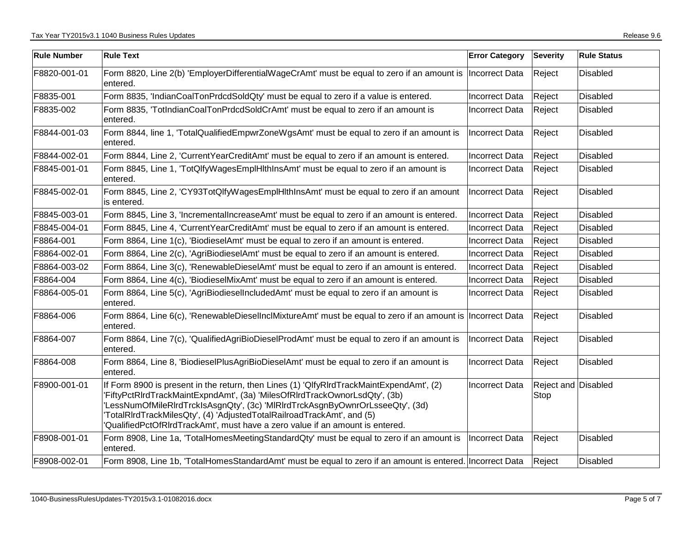| <b>Rule Number</b> | <b>Rule Text</b>                                                                                                                                                                                                                                                                                                                                                                                                  | <b>Error Category</b> | Severity                    | <b>Rule Status</b> |
|--------------------|-------------------------------------------------------------------------------------------------------------------------------------------------------------------------------------------------------------------------------------------------------------------------------------------------------------------------------------------------------------------------------------------------------------------|-----------------------|-----------------------------|--------------------|
| F8820-001-01       | Form 8820, Line 2(b) 'EmployerDifferentialWageCrAmt' must be equal to zero if an amount is  Incorrect Data<br>entered.                                                                                                                                                                                                                                                                                            |                       | Reject                      | Disabled           |
| F8835-001          | Form 8835, 'IndianCoalTonPrdcdSoldQty' must be equal to zero if a value is entered.                                                                                                                                                                                                                                                                                                                               | <b>Incorrect Data</b> | Reject                      | Disabled           |
| F8835-002          | Form 8835, 'TotIndianCoalTonPrdcdSoldCrAmt' must be equal to zero if an amount is<br>entered.                                                                                                                                                                                                                                                                                                                     | <b>Incorrect Data</b> | Reject                      | Disabled           |
| F8844-001-03       | Form 8844, line 1, 'TotalQualifiedEmpwrZoneWgsAmt' must be equal to zero if an amount is<br>entered.                                                                                                                                                                                                                                                                                                              | <b>Incorrect Data</b> | Reject                      | Disabled           |
| F8844-002-01       | Form 8844, Line 2, 'CurrentYearCreditAmt' must be equal to zero if an amount is entered.                                                                                                                                                                                                                                                                                                                          | <b>Incorrect Data</b> | Reject                      | <b>Disabled</b>    |
| F8845-001-01       | Form 8845, Line 1, 'TotQlfyWagesEmplHlthInsAmt' must be equal to zero if an amount is<br>entered.                                                                                                                                                                                                                                                                                                                 | Incorrect Data        | Reject                      | Disabled           |
| F8845-002-01       | Form 8845, Line 2, 'CY93TotQlfyWagesEmplHlthInsAmt' must be equal to zero if an amount<br>is entered.                                                                                                                                                                                                                                                                                                             | Incorrect Data        | Reject                      | Disabled           |
| F8845-003-01       | Form 8845, Line 3, 'IncrementalIncreaseAmt' must be equal to zero if an amount is entered.                                                                                                                                                                                                                                                                                                                        | Incorrect Data        | Reject                      | Disabled           |
| F8845-004-01       | Form 8845, Line 4, 'CurrentYearCreditAmt' must be equal to zero if an amount is entered.                                                                                                                                                                                                                                                                                                                          | <b>Incorrect Data</b> | Reject                      | <b>Disabled</b>    |
| F8864-001          | Form 8864, Line 1(c), 'BiodieselAmt' must be equal to zero if an amount is entered.                                                                                                                                                                                                                                                                                                                               | <b>Incorrect Data</b> | Reject                      | <b>Disabled</b>    |
| F8864-002-01       | Form 8864, Line 2(c), 'AgriBiodieselAmt' must be equal to zero if an amount is entered.                                                                                                                                                                                                                                                                                                                           | Incorrect Data        | Reject                      | Disabled           |
| F8864-003-02       | Form 8864, Line 3(c), 'RenewableDieselAmt' must be equal to zero if an amount is entered.                                                                                                                                                                                                                                                                                                                         | Incorrect Data        | Reject                      | Disabled           |
| F8864-004          | Form 8864, Line 4(c), 'BiodieselMixAmt' must be equal to zero if an amount is entered.                                                                                                                                                                                                                                                                                                                            | <b>Incorrect Data</b> | Reject                      | Disabled           |
| F8864-005-01       | Form 8864, Line 5(c), 'AgriBiodieselIncludedAmt' must be equal to zero if an amount is<br>entered.                                                                                                                                                                                                                                                                                                                | <b>Incorrect Data</b> | Reject                      | Disabled           |
| F8864-006          | Form 8864, Line 6(c), 'RenewableDieselInclMixtureAmt' must be equal to zero if an amount is Incorrect Data<br>entered.                                                                                                                                                                                                                                                                                            |                       | Reject                      | Disabled           |
| F8864-007          | Form 8864, Line 7(c), 'QualifiedAgriBioDieselProdAmt' must be equal to zero if an amount is<br>entered.                                                                                                                                                                                                                                                                                                           | Incorrect Data        | Reject                      | Disabled           |
| F8864-008          | Form 8864, Line 8, 'BiodieselPlusAgriBioDieselAmt' must be equal to zero if an amount is<br>entered.                                                                                                                                                                                                                                                                                                              | <b>Incorrect Data</b> | Reject                      | Disabled           |
| F8900-001-01       | If Form 8900 is present in the return, then Lines (1) 'QlfyRIrdTrackMaintExpendAmt', (2)<br>'FiftyPctRIrdTrackMaintExpndAmt', (3a) 'MilesOfRIrdTrackOwnorLsdQty', (3b)<br>'LessNumOfMileRIrdTrckIsAsgnQty', (3c) 'MIRIrdTrckAsgnByOwnrOrLsseeQty', (3d)<br>TotalRIrdTrackMilesQty', (4) 'AdjustedTotalRailroadTrackAmt', and (5)<br>'QualifiedPctOfRIrdTrackAmt', must have a zero value if an amount is entered. | <b>Incorrect Data</b> | Reject and Disabled<br>Stop |                    |
| F8908-001-01       | Form 8908, Line 1a, 'TotalHomesMeetingStandardQty' must be equal to zero if an amount is<br>entered.                                                                                                                                                                                                                                                                                                              | <b>Incorrect Data</b> | Reject                      | Disabled           |
| F8908-002-01       | Form 8908, Line 1b, 'TotalHomesStandardAmt' must be equal to zero if an amount is entered. Incorrect Data                                                                                                                                                                                                                                                                                                         |                       | Reject                      | Disabled           |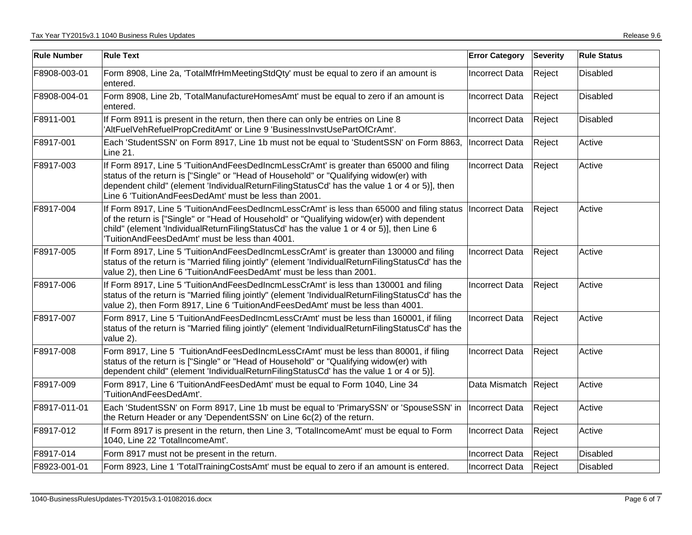| <b>Rule Number</b> | <b>Rule Text</b>                                                                                                                                                                                                                                                                                                                                      | <b>Error Category</b> | <b>Severity</b> | <b>Rule Status</b> |
|--------------------|-------------------------------------------------------------------------------------------------------------------------------------------------------------------------------------------------------------------------------------------------------------------------------------------------------------------------------------------------------|-----------------------|-----------------|--------------------|
| F8908-003-01       | Form 8908, Line 2a, 'TotalMfrHmMeetingStdQty' must be equal to zero if an amount is<br>entered.                                                                                                                                                                                                                                                       | Incorrect Data        | Reject          | <b>Disabled</b>    |
| F8908-004-01       | Form 8908, Line 2b, 'TotalManufactureHomesAmt' must be equal to zero if an amount is<br>entered.                                                                                                                                                                                                                                                      | Incorrect Data        | Reject          | <b>Disabled</b>    |
| F8911-001          | If Form 8911 is present in the return, then there can only be entries on Line 8<br>'AltFuelVehRefuelPropCreditAmt' or Line 9 'BusinessInvstUsePartOfCrAmt'.                                                                                                                                                                                           | Incorrect Data        | Reject          | Disabled           |
| F8917-001          | Each 'StudentSSN' on Form 8917, Line 1b must not be equal to 'StudentSSN' on Form 8863,  Incorrect Data<br>Line 21.                                                                                                                                                                                                                                   |                       | Reject          | Active             |
| F8917-003          | If Form 8917, Line 5 'TuitionAndFeesDedIncmLessCrAmt' is greater than 65000 and filing<br>status of the return is ["Single" or "Head of Household" or "Qualifying widow(er) with<br>dependent child" (element 'IndividualReturnFilingStatusCd' has the value 1 or 4 or 5)], then<br>Line 6 'TuitionAndFeesDedAmt' must be less than 2001.             | Incorrect Data        | Reject          | Active             |
| F8917-004          | If Form 8917, Line 5 'TuitionAndFeesDedIncmLessCrAmt' is less than 65000 and filing status  Incorrect Data<br>of the return is ["Single" or "Head of Household" or "Qualifying widow(er) with dependent<br>child" (element 'IndividualReturnFilingStatusCd' has the value 1 or 4 or 5)], then Line 6<br>TuitionAndFeesDedAmt' must be less than 4001. |                       | Reject          | Active             |
| F8917-005          | If Form 8917, Line 5 'TuitionAndFeesDedIncmLessCrAmt' is greater than 130000 and filing<br>status of the return is "Married filing jointly" (element 'IndividualReturnFilingStatusCd' has the<br>value 2), then Line 6 'TuitionAndFeesDedAmt' must be less than 2001.                                                                                 | <b>Incorrect Data</b> | Reject          | Active             |
| F8917-006          | If Form 8917, Line 5 'TuitionAndFeesDedIncmLessCrAmt' is less than 130001 and filing<br>status of the return is "Married filing jointly" (element 'IndividualReturnFilingStatusCd' has the<br>value 2), then Form 8917, Line 6 'TuitionAndFeesDedAmt' must be less than 4001.                                                                         | <b>Incorrect Data</b> | Reject          | Active             |
| F8917-007          | Form 8917, Line 5 'TuitionAndFeesDedIncmLessCrAmt' must be less than 160001, if filing<br>status of the return is "Married filing jointly" (element 'IndividualReturnFilingStatusCd' has the<br>value 2).                                                                                                                                             | <b>Incorrect Data</b> | Reject          | Active             |
| F8917-008          | Form 8917, Line 5 'TuitionAndFeesDedIncmLessCrAmt' must be less than 80001, if filing<br>status of the return is ["Single" or "Head of Household" or "Qualifying widow(er) with<br>dependent child" (element 'IndividualReturnFilingStatusCd' has the value 1 or 4 or 5)].                                                                            | <b>Incorrect Data</b> | Reject          | Active             |
| F8917-009          | Form 8917, Line 6 'TuitionAndFeesDedAmt' must be equal to Form 1040, Line 34<br>'TuitionAndFeesDedAmt'.                                                                                                                                                                                                                                               | Data Mismatch         | Reject          | Active             |
| F8917-011-01       | Each 'StudentSSN' on Form 8917, Line 1b must be equal to 'PrimarySSN' or 'SpouseSSN' in<br>the Return Header or any 'DependentSSN' on Line 6c(2) of the return.                                                                                                                                                                                       | Incorrect Data        | Reject          | Active             |
| F8917-012          | If Form 8917 is present in the return, then Line 3, 'TotalIncomeAmt' must be equal to Form<br>1040, Line 22 'TotalIncomeAmt'.                                                                                                                                                                                                                         | Incorrect Data        | Reject          | Active             |
| F8917-014          | Form 8917 must not be present in the return.                                                                                                                                                                                                                                                                                                          | Incorrect Data        | Reject          | Disabled           |
| F8923-001-01       | Form 8923, Line 1 'TotalTrainingCostsAmt' must be equal to zero if an amount is entered.                                                                                                                                                                                                                                                              | <b>Incorrect Data</b> | Reject          | <b>Disabled</b>    |